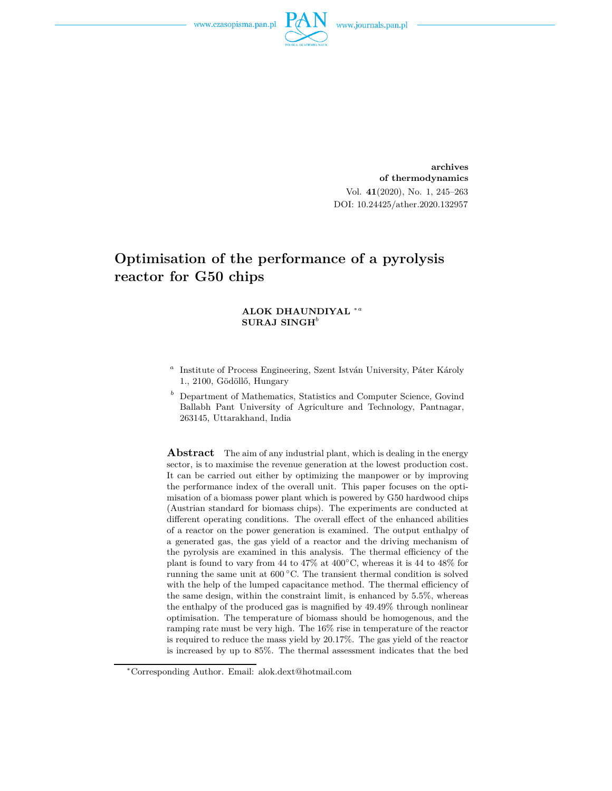

**archives of thermodynamics** Vol. **41**(2020), No. 1, 245–263 DOI: 10.24425/ather.2020.132957

# **Optimisation of the performance of a pyrolysis reactor for G50 chips**

#### **ALOK DHAUNDIYAL** <sup>∗</sup>*<sup>a</sup>* **SURAJ SINGH***<sup>b</sup>*

- *a* Institute of Process Engineering, Szent István University, Páter Károly 1., 2100, Gödöllő, Hungary
- *<sup>b</sup>* Department of Mathematics, Statistics and Computer Science, Govind Ballabh Pant University of Agriculture and Technology, Pantnagar, 263145, Uttarakhand, India

**Abstract** The aim of any industrial plant, which is dealing in the energy sector, is to maximise the revenue generation at the lowest production cost. It can be carried out either by optimizing the manpower or by improving the performance index of the overall unit. This paper focuses on the optimisation of a biomass power plant which is powered by G50 hardwood chips (Austrian standard for biomass chips). The experiments are conducted at different operating conditions. The overall effect of the enhanced abilities of a reactor on the power generation is examined. The output enthalpy of a generated gas, the gas yield of a reactor and the driving mechanism of the pyrolysis are examined in this analysis. The thermal efficiency of the plant is found to vary from 44 to 47% at  $400^{\circ}$ C, whereas it is 44 to 48% for running the same unit at 600 ◦C. The transient thermal condition is solved with the help of the lumped capacitance method. The thermal efficiency of the same design, within the constraint limit, is enhanced by 5.5%, whereas the enthalpy of the produced gas is magnified by 49.49% through nonlinear optimisation. The temperature of biomass should be homogenous, and the ramping rate must be very high. The 16% rise in temperature of the reactor is required to reduce the mass yield by 20.17%. The gas yield of the reactor is increased by up to 85%. The thermal assessment indicates that the bed

<sup>∗</sup>Corresponding Author. Email: alok.dext@hotmail.com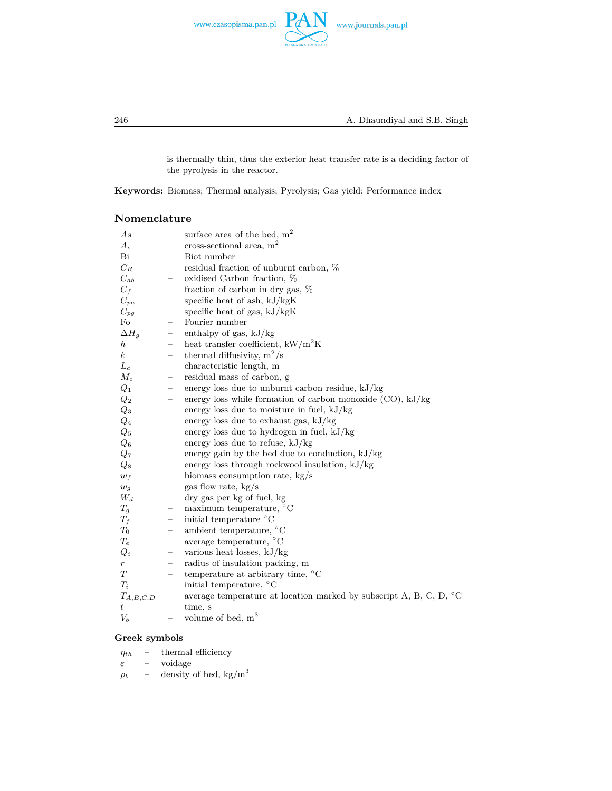



246 A. Dhaundiyal and S.B. Singh

is thermally thin, thus the exterior heat transfer rate is a deciding factor of the pyrolysis in the reactor.

**Keywords:** Biomass; Thermal analysis; Pyrolysis; Gas yield; Performance index

#### **Nomenclature**

| As               | $\overline{\phantom{0}}$ | surface area of the bed, $m2$                                                |
|------------------|--------------------------|------------------------------------------------------------------------------|
| $A_s$            | -                        | cross-sectional area, $m2$                                                   |
| Bi               | $\overline{\phantom{0}}$ | Biot number                                                                  |
| $C_R$            |                          | residual fraction of unburnt carbon, %                                       |
| $C_{ab}$         | $\qquad \qquad -$        | oxidised Carbon fraction, %                                                  |
| $C_f$            | $\qquad \qquad -$        | fraction of carbon in dry gas, $%$                                           |
| $C_{pa}$         | -                        | specific heat of ash, $kJ/kgK$                                               |
| $C_{pg}$         |                          | specific heat of gas, kJ/kgK                                                 |
| Fo               | $\overline{\phantom{0}}$ | Fourier number                                                               |
| $\Delta H_q$     | -                        | enthalpy of gas, $kJ/kg$                                                     |
| $\hbar$          | -                        | heat transfer coefficient, $kW/m^2K$                                         |
| $\boldsymbol{k}$ | $\overline{\phantom{0}}$ | thermal diffusivity, $m^2/s$                                                 |
| $L_c$            | -                        | characteristic length, m                                                     |
| $M_c$            | $\qquad \qquad -$        | residual mass of carbon, g                                                   |
| $Q_1$            | -                        | energy loss due to unburnt carbon residue, $kJ/kg$                           |
| $Q_2$            | $\overline{\phantom{0}}$ | energy loss while formation of carbon monoxide $(CO)$ , $kJ/kg$              |
| $Q_3$            | $\overline{\phantom{0}}$ | energy loss due to moisture in fuel, $kJ/kg$                                 |
| $Q_4$            | -                        | energy loss due to exhaust gas, $kJ/kg$                                      |
| $Q_5$            | -                        | energy loss due to hydrogen in fuel, $kJ/kg$                                 |
| $Q_6$            | -                        | energy loss due to refuse, $kJ/kg$                                           |
| $Q_7$            | $\qquad \qquad -$        | energy gain by the bed due to conduction, $kJ/kg$                            |
| $Q_8$            | -                        | energy loss through rockwool insulation, $kJ/kg$                             |
| $w_f$            | $\qquad \qquad -$        | biomass consumption rate, kg/s                                               |
| $w_g$            | -                        | gas flow rate, kg/s                                                          |
| $W_d$            | $\qquad \qquad -$        | dry gas per kg of fuel, kg                                                   |
| $T_g$            | $\overline{\phantom{0}}$ | maximum temperature, $\mathrm{^{\circ}C}$                                    |
| $T_f$            | -                        | initial temperature °C                                                       |
| $T_0$            | -                        | ambient temperature, $^{\circ}$ C                                            |
| $T_e$            | $\overline{\phantom{0}}$ | average temperature, $^{\circ}$ C                                            |
| $Q_i$            | -                        | various heat losses, kJ/kg                                                   |
| r                | -                        | radius of insulation packing, m                                              |
| T                | $\overline{\phantom{0}}$ | temperature at arbitrary time, $^{\circ}$ C                                  |
| $T_i$            | -                        | initial temperature, $\mathrm{^{\circ}C}$                                    |
| $T_{A,B,C,D}$    |                          | average temperature at location marked by subscript A, B, C, D, $^{\circ}$ C |
| $t\,$            | $\overline{\phantom{0}}$ | time, s                                                                      |
| $V_b$            | $\qquad \qquad -$        | volume of bed, $m3$                                                          |

#### **Greek symbols**

 $\eta_{th}$  – thermal efficiency *ε* – voidage  $\rho_b$  – density of bed, kg/m<sup>3</sup>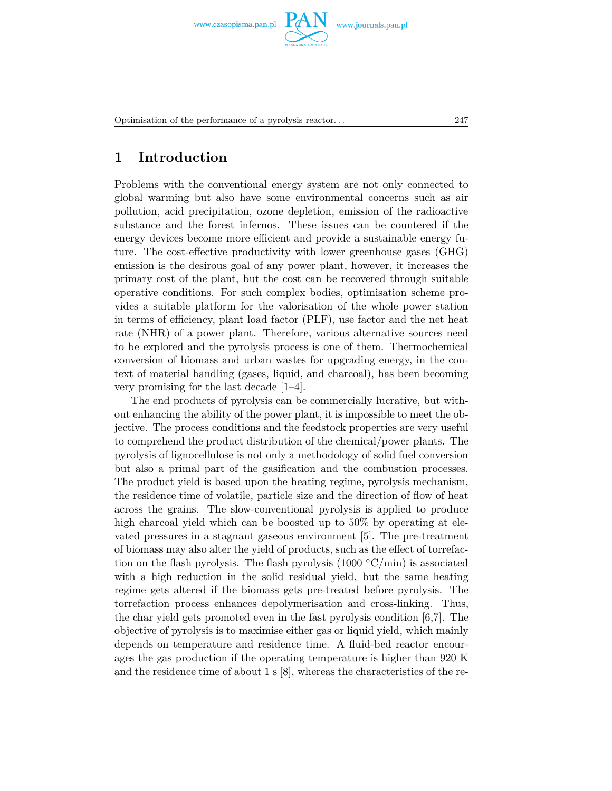

Optimisation of the performance of a pyrolysis reactor. . . 247

## **1 Introduction**

Problems with the conventional energy system are not only connected to global warming but also have some environmental concerns such as air pollution, acid precipitation, ozone depletion, emission of the radioactive substance and the forest infernos. These issues can be countered if the energy devices become more efficient and provide a sustainable energy future. The cost-effective productivity with lower greenhouse gases (GHG) emission is the desirous goal of any power plant, however, it increases the primary cost of the plant, but the cost can be recovered through suitable operative conditions. For such complex bodies, optimisation scheme provides a suitable platform for the valorisation of the whole power station in terms of efficiency, plant load factor (PLF), use factor and the net heat rate (NHR) of a power plant. Therefore, various alternative sources need to be explored and the pyrolysis process is one of them. Thermochemical conversion of biomass and urban wastes for upgrading energy, in the context of material handling (gases, liquid, and charcoal), has been becoming very promising for the last decade [1–4].

The end products of pyrolysis can be commercially lucrative, but without enhancing the ability of the power plant, it is impossible to meet the objective. The process conditions and the feedstock properties are very useful to comprehend the product distribution of the chemical/power plants. The pyrolysis of lignocellulose is not only a methodology of solid fuel conversion but also a primal part of the gasification and the combustion processes. The product yield is based upon the heating regime, pyrolysis mechanism, the residence time of volatile, particle size and the direction of flow of heat across the grains. The slow-conventional pyrolysis is applied to produce high charcoal yield which can be boosted up to 50% by operating at elevated pressures in a stagnant gaseous environment [5]. The pre-treatment of biomass may also alter the yield of products, such as the effect of torrefaction on the flash pyrolysis. The flash pyrolysis  $(1000 °C/min)$  is associated with a high reduction in the solid residual yield, but the same heating regime gets altered if the biomass gets pre-treated before pyrolysis. The torrefaction process enhances depolymerisation and cross-linking. Thus, the char yield gets promoted even in the fast pyrolysis condition [6,7]. The objective of pyrolysis is to maximise either gas or liquid yield, which mainly depends on temperature and residence time. A fluid-bed reactor encourages the gas production if the operating temperature is higher than 920 K and the residence time of about  $1 \text{ s } [8]$ , whereas the characteristics of the re-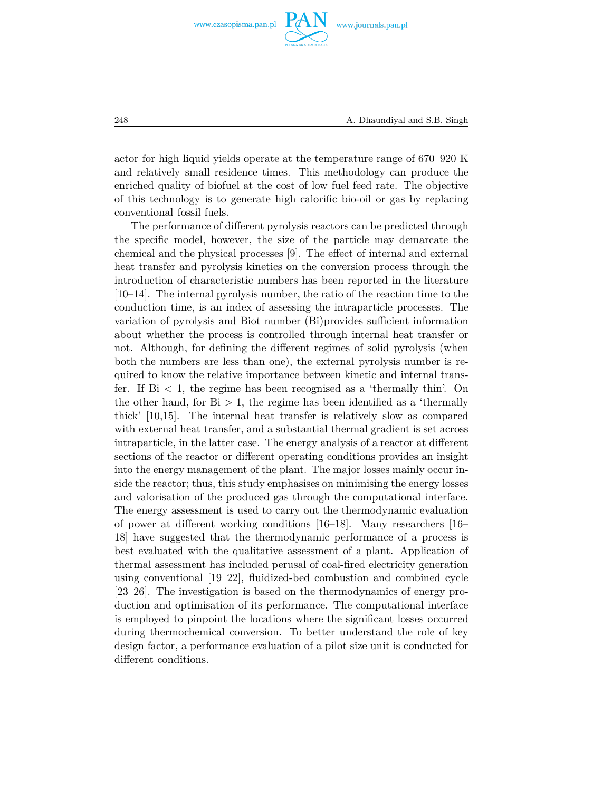

actor for high liquid yields operate at the temperature range of 670–920 K and relatively small residence times. This methodology can produce the enriched quality of biofuel at the cost of low fuel feed rate. The objective of this technology is to generate high calorific bio-oil or gas by replacing conventional fossil fuels.

The performance of different pyrolysis reactors can be predicted through the specific model, however, the size of the particle may demarcate the chemical and the physical processes [9]. The effect of internal and external heat transfer and pyrolysis kinetics on the conversion process through the introduction of characteristic numbers has been reported in the literature [10–14]. The internal pyrolysis number, the ratio of the reaction time to the conduction time, is an index of assessing the intraparticle processes. The variation of pyrolysis and Biot number (Bi)provides sufficient information about whether the process is controlled through internal heat transfer or not. Although, for defining the different regimes of solid pyrolysis (when both the numbers are less than one), the external pyrolysis number is required to know the relative importance between kinetic and internal transfer. If  $Bi < 1$ , the regime has been recognised as a 'thermally thin'. On the other hand, for  $Bi > 1$ , the regime has been identified as a 'thermally thick' [10,15]. The internal heat transfer is relatively slow as compared with external heat transfer, and a substantial thermal gradient is set across intraparticle, in the latter case. The energy analysis of a reactor at different sections of the reactor or different operating conditions provides an insight into the energy management of the plant. The major losses mainly occur inside the reactor; thus, this study emphasises on minimising the energy losses and valorisation of the produced gas through the computational interface. The energy assessment is used to carry out the thermodynamic evaluation of power at different working conditions [16–18]. Many researchers [16– 18] have suggested that the thermodynamic performance of a process is best evaluated with the qualitative assessment of a plant. Application of thermal assessment has included perusal of coal-fired electricity generation using conventional [19–22], fluidized-bed combustion and combined cycle [23–26]. The investigation is based on the thermodynamics of energy production and optimisation of its performance. The computational interface is employed to pinpoint the locations where the significant losses occurred during thermochemical conversion. To better understand the role of key design factor, a performance evaluation of a pilot size unit is conducted for different conditions.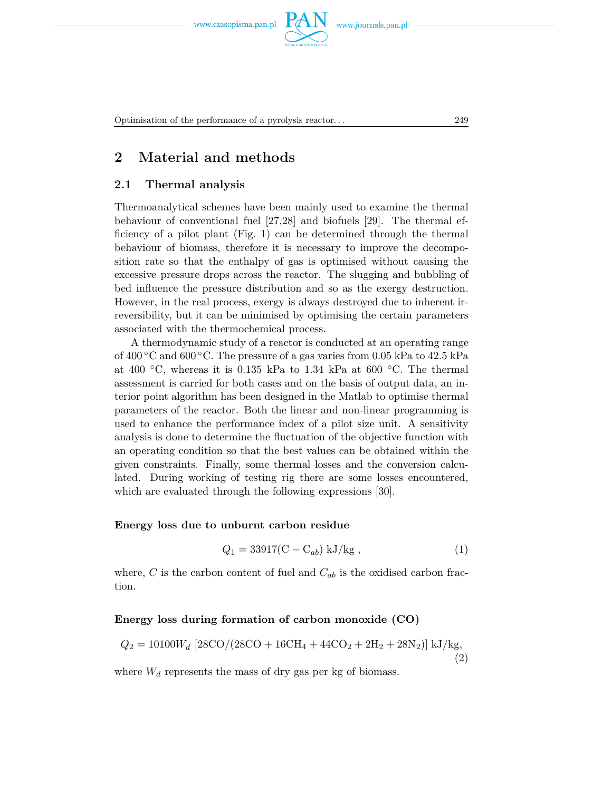

## **2 Material and methods**

#### **2.1 Thermal analysis**

Thermoanalytical schemes have been mainly used to examine the thermal behaviour of conventional fuel [27,28] and biofuels [29]. The thermal efficiency of a pilot plant (Fig. 1) can be determined through the thermal behaviour of biomass, therefore it is necessary to improve the decomposition rate so that the enthalpy of gas is optimised without causing the excessive pressure drops across the reactor. The slugging and bubbling of bed influence the pressure distribution and so as the exergy destruction. However, in the real process, exergy is always destroyed due to inherent irreversibility, but it can be minimised by optimising the certain parameters associated with the thermochemical process.

A thermodynamic study of a reactor is conducted at an operating range of  $400\degree$ C and  $600\degree$ C. The pressure of a gas varies from 0.05 kPa to 42.5 kPa at 400  $\degree$ C, whereas it is 0.135 kPa to 1.34 kPa at 600  $\degree$ C. The thermal assessment is carried for both cases and on the basis of output data, an interior point algorithm has been designed in the Matlab to optimise thermal parameters of the reactor. Both the linear and non-linear programming is used to enhance the performance index of a pilot size unit. A sensitivity analysis is done to determine the fluctuation of the objective function with an operating condition so that the best values can be obtained within the given constraints. Finally, some thermal losses and the conversion calculated. During working of testing rig there are some losses encountered, which are evaluated through the following expressions [30].

#### **Energy loss due to unburnt carbon residue**

$$
Q_1 = 33917(C - C_{ab}) \text{ kJ/kg}, \qquad (1)
$$

where,  $C$  is the carbon content of fuel and  $C_{ab}$  is the oxidised carbon fraction.

#### **Energy loss during formation of carbon monoxide (CO)**

$$
Q_2 = 10100W_d \left[28\text{CO}/(28\text{CO} + 16\text{CH}_4 + 44\text{CO}_2 + 2\text{H}_2 + 28\text{N}_2)\right] \text{kJ/kg},\tag{2}
$$

where  $W_d$  represents the mass of dry gas per kg of biomass.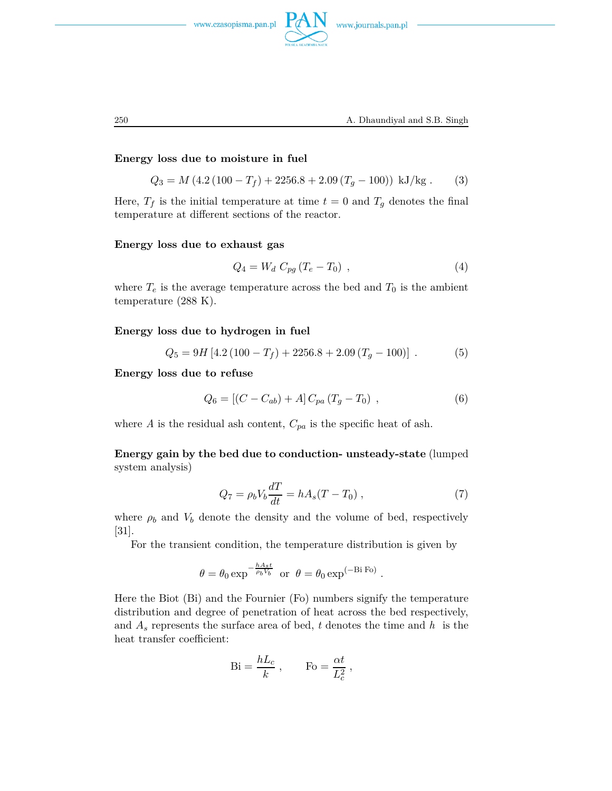

#### **Energy loss due to moisture in fuel**

$$
Q_3 = M (4.2 (100 - T_f) + 2256.8 + 2.09 (T_g - 100)) \text{ kJ/kg}. \tag{3}
$$

Here,  $T_f$  is the initial temperature at time  $t = 0$  and  $T_g$  denotes the final temperature at different sections of the reactor.

#### **Energy loss due to exhaust gas**

$$
Q_4 = W_d C_{pg} (T_e - T_0) , \t\t(4)
$$

where  $T_e$  is the average temperature across the bed and  $T_0$  is the ambient temperature (288 K).

#### **Energy loss due to hydrogen in fuel**

$$
Q_5 = 9H [4.2 (100 - T_f) + 2256.8 + 2.09 (T_g - 100)].
$$
 (5)

**Energy loss due to refuse**

$$
Q_6 = [(C - C_{ab}) + A] C_{pa} (T_g - T_0) , \qquad (6)
$$

where  $A$  is the residual ash content,  $C_{pa}$  is the specific heat of ash.

**Energy gain by the bed due to conduction- unsteady-state** (lumped system analysis)

$$
Q_7 = \rho_b V_b \frac{dT}{dt} = hA_s (T - T_0) , \qquad (7)
$$

where  $\rho_b$  and  $V_b$  denote the density and the volume of bed, respectively [31].

For the transient condition, the temperature distribution is given by

$$
\theta = \theta_0 \exp^{-\frac{hA_s t}{\rho_b V_b}}
$$
 or  $\theta = \theta_0 \exp^{(-Bi \text{ Fo})}$ .

Here the Biot (Bi) and the Fournier (Fo) numbers signify the temperature distribution and degree of penetration of heat across the bed respectively, and *A<sup>s</sup>* represents the surface area of bed, *t* denotes the time and *h* is the heat transfer coefficient:

$$
\text{Bi} = \frac{hL_c}{k} \; , \qquad \text{Fo} = \frac{\alpha t}{L_c^2} \; ,
$$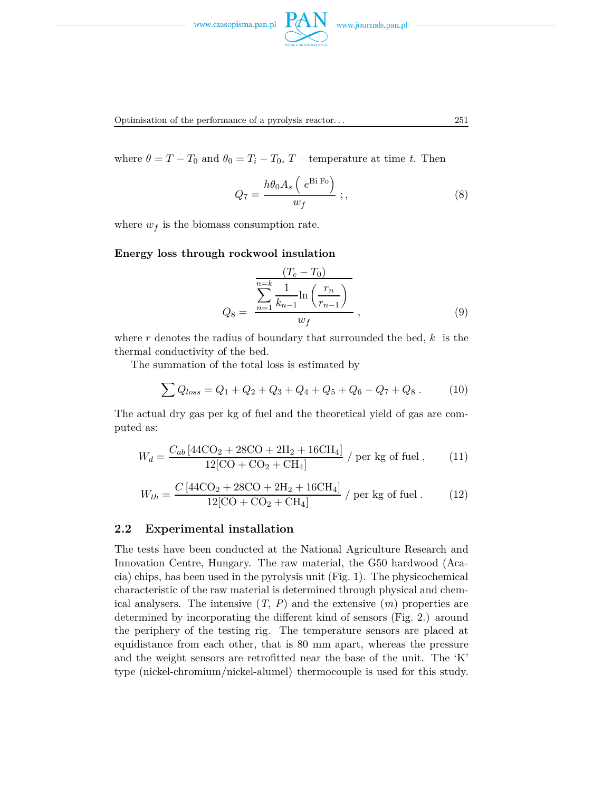



where  $\theta = T - T_0$  and  $\theta_0 = T_i - T_0$ ,  $T$  – temperature at time *t*. Then

$$
Q_7 = \frac{h\theta_0 A_s \left(e^{Bi\text{ Fo}}\right)}{w_f} \, ; \tag{8}
$$

where  $w_f$  is the biomass consumption rate.

#### **Energy loss through rockwool insulation**

$$
Q_8 = \frac{\sum_{n=1}^{n=k} \frac{1}{k_{n-1}} \ln\left(\frac{r_n}{r_{n-1}}\right)}{w_f}, \qquad (9)
$$

where *r* denotes the radius of boundary that surrounded the bed, *k* is the thermal conductivity of the bed.

The summation of the total loss is estimated by

$$
\sum Q_{loss} = Q_1 + Q_2 + Q_3 + Q_4 + Q_5 + Q_6 - Q_7 + Q_8. \tag{10}
$$

The actual dry gas per kg of fuel and the theoretical yield of gas are computed as:

$$
W_d = \frac{C_{ab} [44 \text{CO}_2 + 28 \text{CO} + 2 \text{H}_2 + 16 \text{CH}_4]}{12 [\text{CO} + \text{CO}_2 + \text{CH}_4]} / \text{per kg of fuel}, \qquad (11)
$$

$$
W_{th} = \frac{C\left[44\text{CO}_2 + 28\text{CO} + 2\text{H}_2 + 16\text{CH}_4\right]}{12\left[\text{CO} + \text{CO}_2 + \text{CH}_4\right]} / \text{per kg of fuel.}
$$
 (12)

#### **2.2 Experimental installation**

The tests have been conducted at the National Agriculture Research and Innovation Centre, Hungary. The raw material, the G50 hardwood (Acacia) chips, has been used in the pyrolysis unit (Fig. 1). The physicochemical characteristic of the raw material is determined through physical and chemical analysers. The intensive  $(T, P)$  and the extensive  $(m)$  properties are determined by incorporating the different kind of sensors (Fig. 2.) around the periphery of the testing rig. The temperature sensors are placed at equidistance from each other, that is 80 mm apart, whereas the pressure and the weight sensors are retrofitted near the base of the unit. The 'K' type (nickel-chromium/nickel-alumel) thermocouple is used for this study.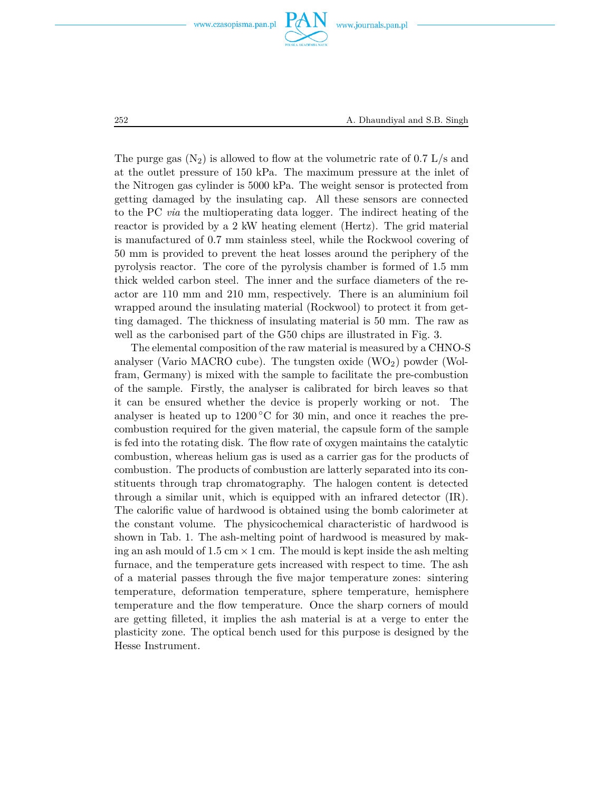

252 A. Dhaundiyal and S.B. Singh

The purge gas  $(N_2)$  is allowed to flow at the volumetric rate of 0.7 L/s and at the outlet pressure of 150 kPa. The maximum pressure at the inlet of the Nitrogen gas cylinder is 5000 kPa. The weight sensor is protected from getting damaged by the insulating cap. All these sensors are connected to the PC *via* the multioperating data logger. The indirect heating of the reactor is provided by a 2 kW heating element (Hertz). The grid material is manufactured of 0.7 mm stainless steel, while the Rockwool covering of 50 mm is provided to prevent the heat losses around the periphery of the pyrolysis reactor. The core of the pyrolysis chamber is formed of 1.5 mm thick welded carbon steel. The inner and the surface diameters of the reactor are 110 mm and 210 mm, respectively. There is an aluminium foil wrapped around the insulating material (Rockwool) to protect it from getting damaged. The thickness of insulating material is 50 mm. The raw as well as the carbonised part of the G50 chips are illustrated in Fig. 3.

The elemental composition of the raw material is measured by a CHNO-S analyser (Vario MACRO cube). The tungsten oxide (WO<sub>2</sub>) powder (Wolfram, Germany) is mixed with the sample to facilitate the pre-combustion of the sample. Firstly, the analyser is calibrated for birch leaves so that it can be ensured whether the device is properly working or not. The analyser is heated up to  $1200\,^{\circ}\text{C}$  for 30 min, and once it reaches the precombustion required for the given material, the capsule form of the sample is fed into the rotating disk. The flow rate of oxygen maintains the catalytic combustion, whereas helium gas is used as a carrier gas for the products of combustion. The products of combustion are latterly separated into its constituents through trap chromatography. The halogen content is detected through a similar unit, which is equipped with an infrared detector (IR). The calorific value of hardwood is obtained using the bomb calorimeter at the constant volume. The physicochemical characteristic of hardwood is shown in Tab. 1. The ash-melting point of hardwood is measured by making an ash mould of 1.5 cm  $\times$  1 cm. The mould is kept inside the ash melting furnace, and the temperature gets increased with respect to time. The ash of a material passes through the five major temperature zones: sintering temperature, deformation temperature, sphere temperature, hemisphere temperature and the flow temperature. Once the sharp corners of mould are getting filleted, it implies the ash material is at a verge to enter the plasticity zone. The optical bench used for this purpose is designed by the Hesse Instrument.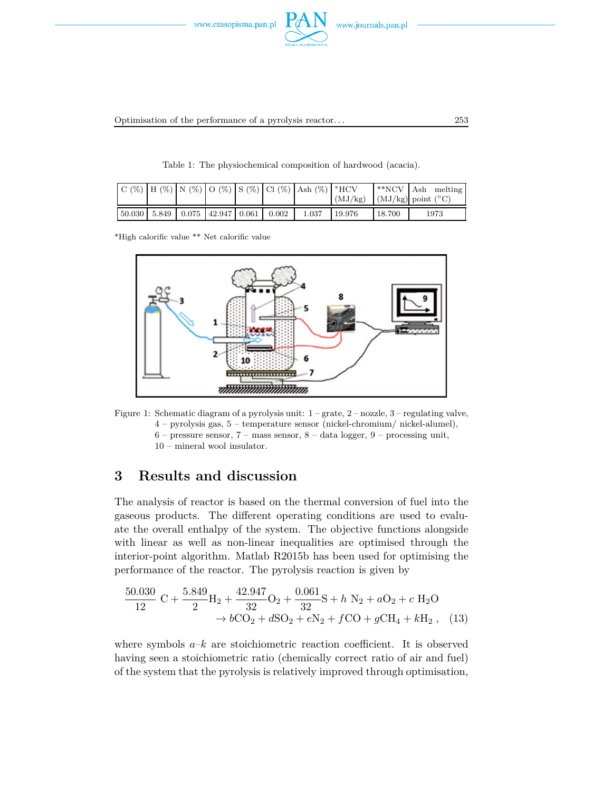

Table 1: The physiochemical composition of hardwood (acacia).

|  |  |                                                   |       | $ C(\%) H(\%) N(\%) O(\%) S(\%) Cl(\%) Ash(\%) *HCV$ | (MJ/kg) | $*NCV$ Ash | melting<br>$(MJ/kg)$ point $({}^{\circ}C)$ |
|--|--|---------------------------------------------------|-------|------------------------------------------------------|---------|------------|--------------------------------------------|
|  |  | $50.030$   $5.849$   $0.075$   $42.947$   $0.061$ | 0.002 | 1.037                                                | 19.976  | 18.700     | 1973                                       |

\*High calorific value \*\* Net calorific value





### **3 Results and discussion**

The analysis of reactor is based on the thermal conversion of fuel into the gaseous products. The different operating conditions are used to evaluate the overall enthalpy of the system. The objective functions alongside with linear as well as non-linear inequalities are optimised through the interior-point algorithm. Matlab R2015b has been used for optimising the performance of the reactor. The pyrolysis reaction is given by

$$
\frac{50.030}{12} \text{ C} + \frac{5.849}{2} \text{H}_2 + \frac{42.947}{32} \text{O}_2 + \frac{0.061}{32} \text{S} + h \text{ N}_2 + a \text{O}_2 + c \text{ H}_2 \text{O}
$$
  

$$
\rightarrow b \text{CO}_2 + d \text{SO}_2 + e \text{N}_2 + f \text{CO} + g \text{CH}_4 + k \text{H}_2 , \quad (13)
$$

where symbols  $a-k$  are stoichiometric reaction coefficient. It is observed having seen a stoichiometric ratio (chemically correct ratio of air and fuel) of the system that the pyrolysis is relatively improved through optimisation,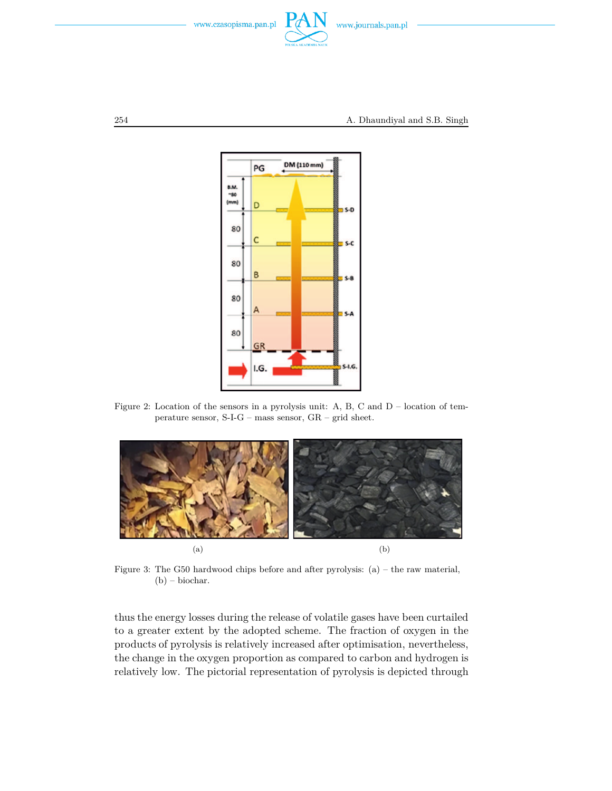



Figure 2: Location of the sensors in a pyrolysis unit: A, B, C and D – location of temperature sensor, S-I-G – mass sensor, GR – grid sheet.



Figure 3: The G50 hardwood chips before and after pyrolysis: (a) – the raw material, (b) – biochar.

thus the energy losses during the release of volatile gases have been curtailed to a greater extent by the adopted scheme. The fraction of oxygen in the products of pyrolysis is relatively increased after optimisation, nevertheless, the change in the oxygen proportion as compared to carbon and hydrogen is relatively low. The pictorial representation of pyrolysis is depicted through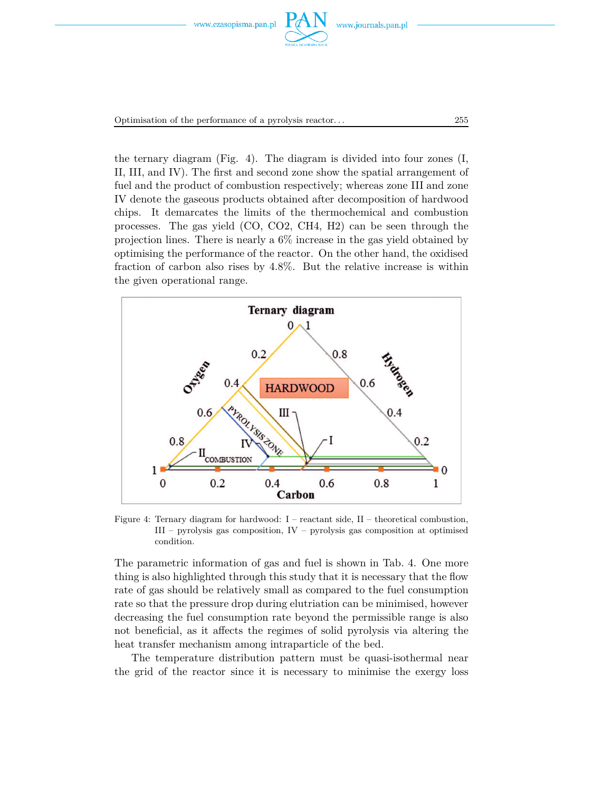



the ternary diagram (Fig. 4). The diagram is divided into four zones (I, II, III, and IV). The first and second zone show the spatial arrangement of fuel and the product of combustion respectively; whereas zone III and zone IV denote the gaseous products obtained after decomposition of hardwood chips. It demarcates the limits of the thermochemical and combustion processes. The gas yield (CO, CO2, CH4, H2) can be seen through the projection lines. There is nearly a 6% increase in the gas yield obtained by optimising the performance of the reactor. On the other hand, the oxidised fraction of carbon also rises by 4.8%. But the relative increase is within the given operational range.



Figure 4: Ternary diagram for hardwood:  $I$  – reactant side,  $II$  – theoretical combustion, III – pyrolysis gas composition, IV – pyrolysis gas composition at optimised condition.

The parametric information of gas and fuel is shown in Tab. 4. One more thing is also highlighted through this study that it is necessary that the flow rate of gas should be relatively small as compared to the fuel consumption rate so that the pressure drop during elutriation can be minimised, however decreasing the fuel consumption rate beyond the permissible range is also not beneficial, as it affects the regimes of solid pyrolysis via altering the heat transfer mechanism among intraparticle of the bed.

The temperature distribution pattern must be quasi-isothermal near the grid of the reactor since it is necessary to minimise the exergy loss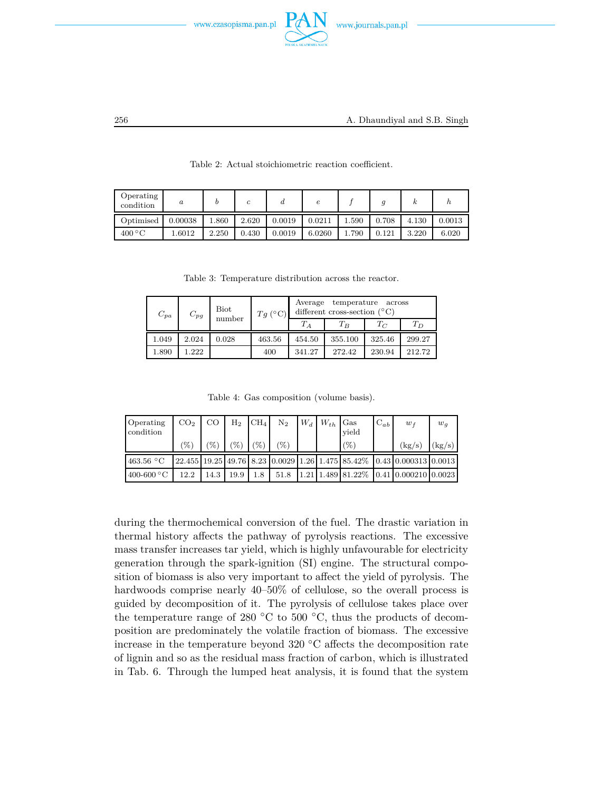

| Operating<br>condition    | $\boldsymbol{a}$ |       | с     | u      | е      |       |       |       | п      |
|---------------------------|------------------|-------|-------|--------|--------|-------|-------|-------|--------|
| Optimised                 | 0.00038          | .860  | 2.620 | 0.0019 | 0.0211 | 1.590 | 0.708 | 4.130 | 0.0013 |
| $400\,^{\circ}\mathrm{C}$ | .6012            | 2.250 | 0.430 | 0.0019 | 6.0260 | 1.790 | 0.121 | 3.220 | 6.020  |

Table 2: Actual stoichiometric reaction coefficient.

Table 3: Temperature distribution across the reactor.

| $C_{pa}$ | $C_{pg}$ | <b>Biot</b><br>number | $Tq(^{\circ}C)$ | temperature<br>Average<br>across<br>different cross-section $({}^{\circ}C)$ |         |        |        |  |  |
|----------|----------|-----------------------|-----------------|-----------------------------------------------------------------------------|---------|--------|--------|--|--|
|          |          |                       |                 | $T_A$                                                                       | $T_B$   | $T_C$  | $T_D$  |  |  |
| 1.049    | 2.024    | 0.028                 | 463.56          | 454.50                                                                      | 355.100 | 325.46 | 299.27 |  |  |
| 1.890    | 1.222    |                       | 400             | 341.27                                                                      | 272.42  | 230.94 | 212.72 |  |  |

Table 4: Gas composition (volume basis).

| Operating<br>condition        | CO <sub>2</sub> | CO   | $\rm{H}_{2}$    | CH <sub>4</sub> | $\mathrm{N}_2$  | $W_d$ $W_{th}$ | Gas<br>vield | $C_{ab}$ | $w_f$                                                                                                                                                            | $w_g$  |
|-------------------------------|-----------------|------|-----------------|-----------------|-----------------|----------------|--------------|----------|------------------------------------------------------------------------------------------------------------------------------------------------------------------|--------|
|                               | 96              | '%`  | $\mathscr{C}_0$ | (%`             | $\mathscr{C}_0$ |                | $(\% )$      |          | (kg/s)                                                                                                                                                           | (kg/s) |
| 463.56 $\,^{\circ}\mathrm{C}$ |                 |      |                 |                 |                 |                |              |          | $\left[22.455\right]$ 19.25 $\left[49.76\right]$ 8.23 $\left[0.0029\right]$ 1.26 $\left[1.475\right]$ 85.42\% $\left[0.43\right]$ 0.000313 $\left[0.0013\right]$ |        |
| $400-600\text{ °C}$           | 12.2            | 14.3 | 19.9            | 1.8             | 51.8            |                |              |          | $1.21$ $1.489$ $81.22\%$ $0.41$ $0.000210$ $0.0023$                                                                                                              |        |

during the thermochemical conversion of the fuel. The drastic variation in thermal history affects the pathway of pyrolysis reactions. The excessive mass transfer increases tar yield, which is highly unfavourable for electricity generation through the spark-ignition (SI) engine. The structural composition of biomass is also very important to affect the yield of pyrolysis. The hardwoods comprise nearly  $40-50\%$  of cellulose, so the overall process is guided by decomposition of it. The pyrolysis of cellulose takes place over the temperature range of 280  $\degree$ C to 500  $\degree$ C, thus the products of decomposition are predominately the volatile fraction of biomass. The excessive increase in the temperature beyond 320 ◦C affects the decomposition rate of lignin and so as the residual mass fraction of carbon, which is illustrated in Tab. 6. Through the lumped heat analysis, it is found that the system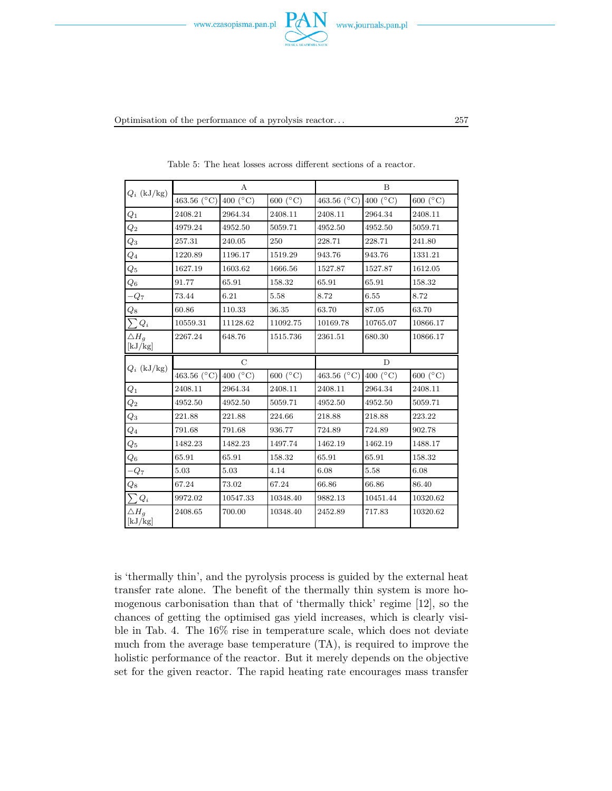



Optimisation of the performance of a pyrolysis reactor. . . 257

| $Q_i$ (kJ/kg)              |                        | A                       |                     | B                      |                     |                     |  |  |
|----------------------------|------------------------|-------------------------|---------------------|------------------------|---------------------|---------------------|--|--|
|                            | 463.56 ( $^{\circ}$ C) | 400 ( $\rm ^{\circ}C$ ) | 600 $(^{\circ}C)$   | 463.56 ( $^{\circ}$ C) | 400 ( $^{\circ}$ C) | 600 $(C)$           |  |  |
| $Q_1$                      | 2408.21                | 2964.34                 | 2408.11             | 2408.11                | 2964.34             | 2408.11             |  |  |
| $Q_2$                      | 4979.24                | 4952.50                 | 5059.71             | 4952.50                | 4952.50             | 5059.71             |  |  |
| $\overline{Q_3}$           | 257.31                 | 240.05                  | 250                 | 228.71                 | 228.71              | 241.80              |  |  |
| $\scriptstyle Q_4$         | 1220.89                | 1196.17                 | 1519.29             | 943.76                 | 943.76              | 1331.21             |  |  |
| $Q_5$                      | 1627.19                | 1603.62                 | 1666.56             | 1527.87                | 1527.87             | 1612.05             |  |  |
| $\,Q_6$                    | 91.77                  | 65.91                   | 158.32              | 65.91                  | 65.91               | 158.32              |  |  |
| $-Q7$                      | 73.44                  | 6.21                    | 5.58                | 8.72                   | 6.55                | 8.72                |  |  |
| $\overline{Q8}$            | 60.86                  | 110.33                  | 36.35               | 63.70                  | 87.05               | 63.70               |  |  |
| $\sum Q_i$                 | 10559.31               | 11128.62                | 11092.75            | 10169.78               | 10765.07            | 10866.17            |  |  |
| $\triangle H_g$<br>[kJ/kg] | 2267.24                | 648.76                  | 1515.736            | 2361.51                | 680.30              | 10866.17            |  |  |
| $Q_i$ (kJ/kg)              |                        | $\mathcal{C}$           |                     | $\overline{D}$         |                     |                     |  |  |
|                            | 463.56 (°C)            | 400 ( $^{\circ}$ C)     | 600 ( $^{\circ}$ C) | 463.56 ( $^{\circ}$ C) | 400 ( $^{\circ}$ C) | 600 ( $^{\circ}$ C) |  |  |
| $Q_1$                      | 2408.11                | 2964.34                 | 2408.11             | 2408.11                | 2964.34             | 2408.11             |  |  |
| $\overline{Q_2}$           | 4952.50                | 4952.50                 | 5059.71             | 4952.50                | 4952.50             | 5059.71             |  |  |
| $Q_3$                      | 221.88                 | 221.88                  | 224.66              | 218.88                 | 218.88              | 223.22              |  |  |
| $\overline{Q_4}$           | 791.68                 | 791.68                  | 936.77              | 724.89                 | 724.89              | 902.78              |  |  |
| $\scriptstyle Q_5$         | 1482.23                | 1482.23                 | 1497.74             | 1462.19                | 1462.19             | 1488.17             |  |  |
| $\,_{6}$                   | 65.91                  | 65.91                   | 158.32              | 65.91                  | 65.91               | 158.32              |  |  |
| $-Q_7$                     | 5.03                   | 5.03                    | 4.14                | 6.08                   | 5.58                | 6.08                |  |  |
| $\mathbb{Q}_8$             | 67.24                  | 73.02                   | 67.24               | 66.86                  | 66.86               | 86.40               |  |  |
| $\sum Q_i$                 | 9972.02                | 10547.33                | 10348.40            | 9882.13                | 10451.44            | 10320.62            |  |  |
| $\triangle H_a$<br>[kJ/kg] | 2408.65                | 700.00                  | 10348.40            | 2452.89                | 717.83              | 10320.62            |  |  |

Table 5: The heat losses across different sections of a reactor.

is 'thermally thin', and the pyrolysis process is guided by the external heat transfer rate alone. The benefit of the thermally thin system is more homogenous carbonisation than that of 'thermally thick' regime [12], so the chances of getting the optimised gas yield increases, which is clearly visible in Tab. 4. The 16% rise in temperature scale, which does not deviate much from the average base temperature (TA), is required to improve the holistic performance of the reactor. But it merely depends on the objective set for the given reactor. The rapid heating rate encourages mass transfer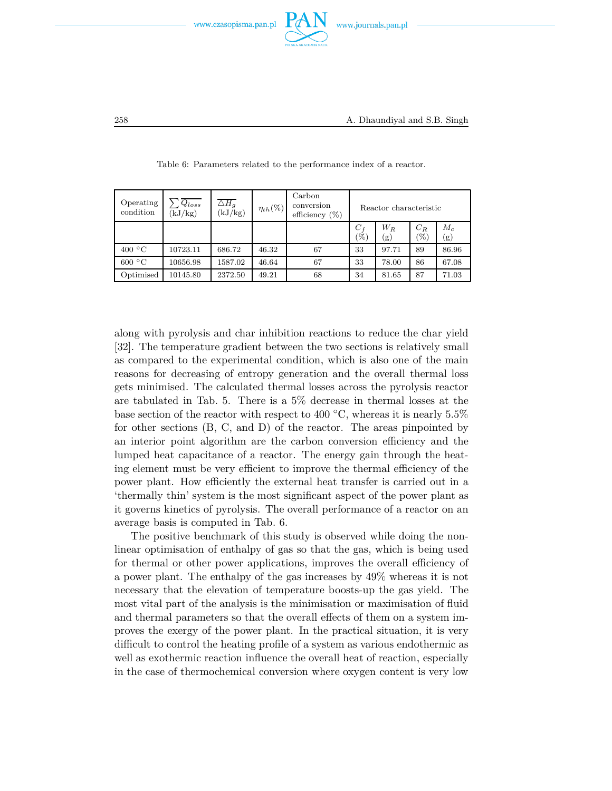

| Operating<br>condition | $Q_{loss}$<br>(kJ/kg) | $\overline{\triangle H_g}$<br>(kJ/kg) | $\eta_{th}(\%)$ | Carbon<br>conversion<br>efficiency $(\%)$ |                          | Reactor characteristic |              |              |
|------------------------|-----------------------|---------------------------------------|-----------------|-------------------------------------------|--------------------------|------------------------|--------------|--------------|
|                        |                       |                                       |                 |                                           | $C_f$<br>$\mathscr{C}_0$ | $W_R$<br>(g)           | $C_R$<br>(%) | $M_c$<br>(g) |
| 400 °C                 | 10723.11              | 686.72                                | 46.32           | 67                                        | 33                       | 97.71                  | 89           | 86.96        |
| 600 °C                 | 10656.98              | 1587.02                               | 46.64           | 67                                        | 33                       | 78.00                  | 86           | 67.08        |
| Optimised              | 10145.80              | 2372.50                               | 49.21           | 68                                        | 34                       | 81.65                  | 87           | 71.03        |

Table 6: Parameters related to the performance index of a reactor.

along with pyrolysis and char inhibition reactions to reduce the char yield [32]. The temperature gradient between the two sections is relatively small as compared to the experimental condition, which is also one of the main reasons for decreasing of entropy generation and the overall thermal loss gets minimised. The calculated thermal losses across the pyrolysis reactor are tabulated in Tab. 5. There is a 5% decrease in thermal losses at the base section of the reactor with respect to 400  $\degree$ C, whereas it is nearly 5.5% for other sections (B, C, and D) of the reactor. The areas pinpointed by an interior point algorithm are the carbon conversion efficiency and the lumped heat capacitance of a reactor. The energy gain through the heating element must be very efficient to improve the thermal efficiency of the power plant. How efficiently the external heat transfer is carried out in a 'thermally thin' system is the most significant aspect of the power plant as it governs kinetics of pyrolysis. The overall performance of a reactor on an average basis is computed in Tab. 6.

The positive benchmark of this study is observed while doing the nonlinear optimisation of enthalpy of gas so that the gas, which is being used for thermal or other power applications, improves the overall efficiency of a power plant. The enthalpy of the gas increases by 49% whereas it is not necessary that the elevation of temperature boosts-up the gas yield. The most vital part of the analysis is the minimisation or maximisation of fluid and thermal parameters so that the overall effects of them on a system improves the exergy of the power plant. In the practical situation, it is very difficult to control the heating profile of a system as various endothermic as well as exothermic reaction influence the overall heat of reaction, especially in the case of thermochemical conversion where oxygen content is very low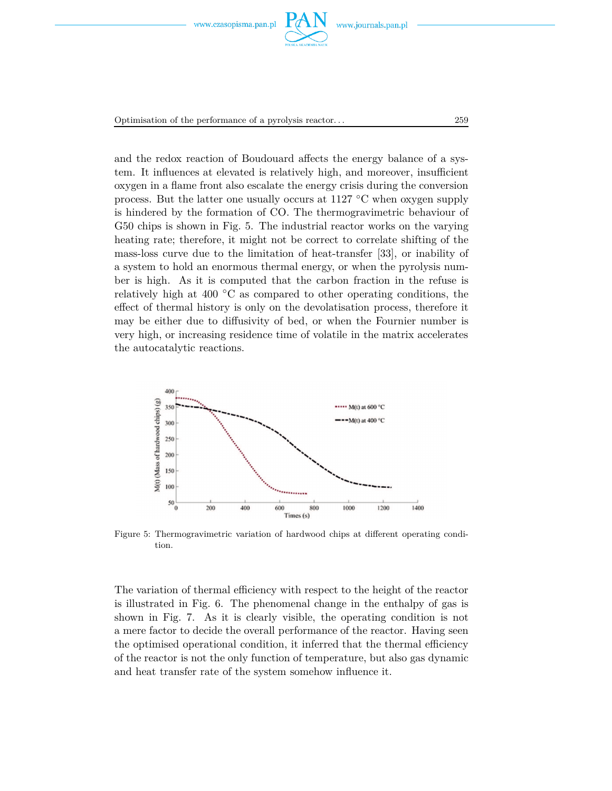



Optimisation of the performance of a pyrolysis reactor. . . 259

and the redox reaction of Boudouard affects the energy balance of a system. It influences at elevated is relatively high, and moreover, insufficient oxygen in a flame front also escalate the energy crisis during the conversion process. But the latter one usually occurs at 1127 ◦C when oxygen supply is hindered by the formation of CO. The thermogravimetric behaviour of G50 chips is shown in Fig. 5. The industrial reactor works on the varying heating rate; therefore, it might not be correct to correlate shifting of the mass-loss curve due to the limitation of heat-transfer [33], or inability of a system to hold an enormous thermal energy, or when the pyrolysis number is high. As it is computed that the carbon fraction in the refuse is relatively high at 400  $\degree$ C as compared to other operating conditions, the effect of thermal history is only on the devolatisation process, therefore it may be either due to diffusivity of bed, or when the Fournier number is very high, or increasing residence time of volatile in the matrix accelerates the autocatalytic reactions.



Figure 5: Thermogravimetric variation of hardwood chips at different operating condition.

The variation of thermal efficiency with respect to the height of the reactor is illustrated in Fig. 6. The phenomenal change in the enthalpy of gas is shown in Fig. 7. As it is clearly visible, the operating condition is not a mere factor to decide the overall performance of the reactor. Having seen the optimised operational condition, it inferred that the thermal efficiency of the reactor is not the only function of temperature, but also gas dynamic and heat transfer rate of the system somehow influence it.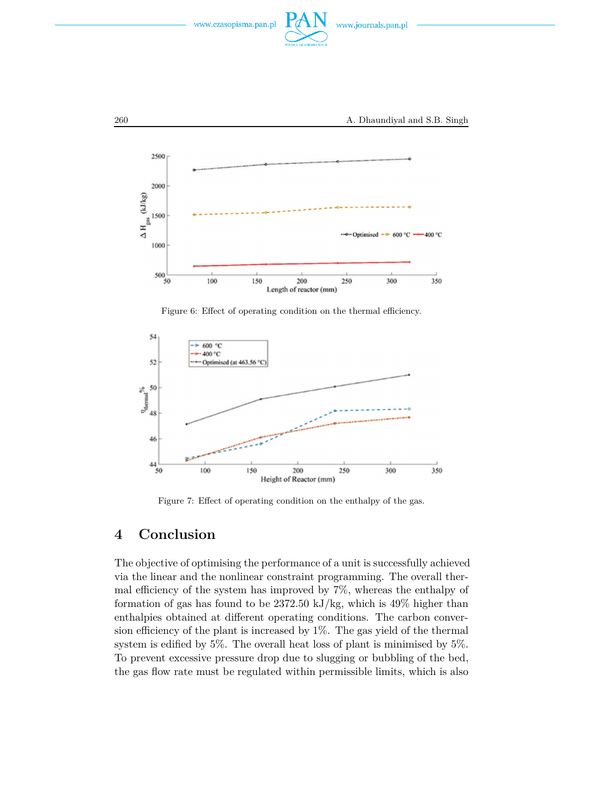



Figure 6: Effect of operating condition on the thermal efficiency.



Figure 7: Effect of operating condition on the enthalpy of the gas.

# **4 Conclusion**

The objective of optimising the performance of a unit is successfully achieved via the linear and the nonlinear constraint programming. The overall thermal efficiency of the system has improved by 7%, whereas the enthalpy of formation of gas has found to be 2372.50 kJ/kg, which is 49% higher than enthalpies obtained at different operating conditions. The carbon conversion efficiency of the plant is increased by 1%. The gas yield of the thermal system is edified by 5%. The overall heat loss of plant is minimised by 5%. To prevent excessive pressure drop due to slugging or bubbling of the bed, the gas flow rate must be regulated within permissible limits, which is also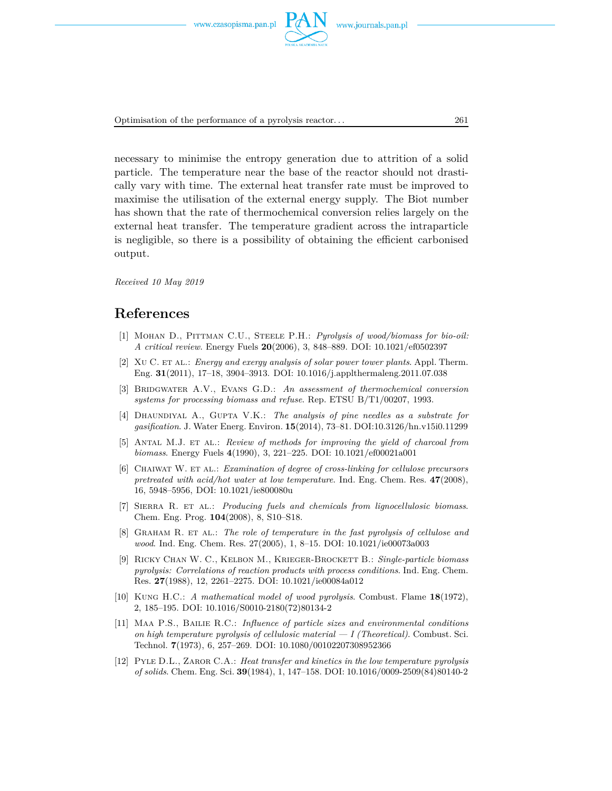

Optimisation of the performance of a pyrolysis reactor. . . 261

necessary to minimise the entropy generation due to attrition of a solid particle. The temperature near the base of the reactor should not drastically vary with time. The external heat transfer rate must be improved to maximise the utilisation of the external energy supply. The Biot number has shown that the rate of thermochemical conversion relies largely on the external heat transfer. The temperature gradient across the intraparticle is negligible, so there is a possibility of obtaining the efficient carbonised output.

*Received 10 May 2019*

### **References**

- [1] Mohan D., Pittman C.U., Steele P.H.: *Pyrolysis of wood/biomass for bio-oil: A critical review*. Energy Fuels **20**(2006), 3, 848–889. DOI: 10.1021/ef0502397
- [2] Xu C. et al.: *Energy and exergy analysis of solar power tower plants*. Appl. Therm. Eng. **31**(2011), 17–18, 3904–3913. DOI: 10.1016/j.applthermaleng.2011.07.038
- [3] Bridgwater A.V., Evans G.D.: *An assessment of thermochemical conversion systems for processing biomass and refuse*. Rep. ETSU B/T1/00207, 1993.
- [4] Dhaundiyal A., Gupta V.K.: *The analysis of pine needles as a substrate for gasification*. J. Water Energ. Environ. **15**(2014), 73–81. DOI:10.3126/hn.v15i0.11299
- [5] Antal M.J. et al.: *Review of methods for improving the yield of charcoal from biomass*. Energy Fuels **4**(1990), 3, 221–225. DOI: 10.1021/ef00021a001
- [6] Chaiwat W. et al.: *Examination of degree of cross-linking for cellulose precursors pretreated with acid/hot water at low temperature*. Ind. Eng. Chem. Res. **47**(2008), 16, 5948–5956, DOI: 10.1021/ie800080u
- [7] Sierra R. et al.: *Producing fuels and chemicals from lignocellulosic biomass*. Chem. Eng. Prog. **104**(2008), 8, S10–S18.
- [8] Graham R. et al.: *The role of temperature in the fast pyrolysis of cellulose and wood*. Ind. Eng. Chem. Res. 27(2005), 1, 8–15. DOI: 10.1021/ie00073a003
- [9] Ricky Chan W. C., Kelbon M., Krieger-Brockett B.: *Single-particle biomass pyrolysis: Correlations of reaction products with process conditions*. Ind. Eng. Chem. Res. **27**(1988), 12, 2261–2275. DOI: 10.1021/ie00084a012
- [10] Kung H.C.: *A mathematical model of wood pyrolysis*. Combust. Flame **18**(1972), 2, 185–195. DOI: 10.1016/S0010-2180(72)80134-2
- [11] Maa P.S., Bailie R.C.: *Influence of particle sizes and environmental conditions on high temperature pyrolysis of cellulosic material — I (Theoretical)*. Combust. Sci. Technol. **7**(1973), 6, 257–269. DOI: 10.1080/00102207308952366
- [12] Pyle D.L., Zaror C.A.: *Heat transfer and kinetics in the low temperature pyrolysis of solids*. Chem. Eng. Sci. **39**(1984), 1, 147–158. DOI: 10.1016/0009-2509(84)80140-2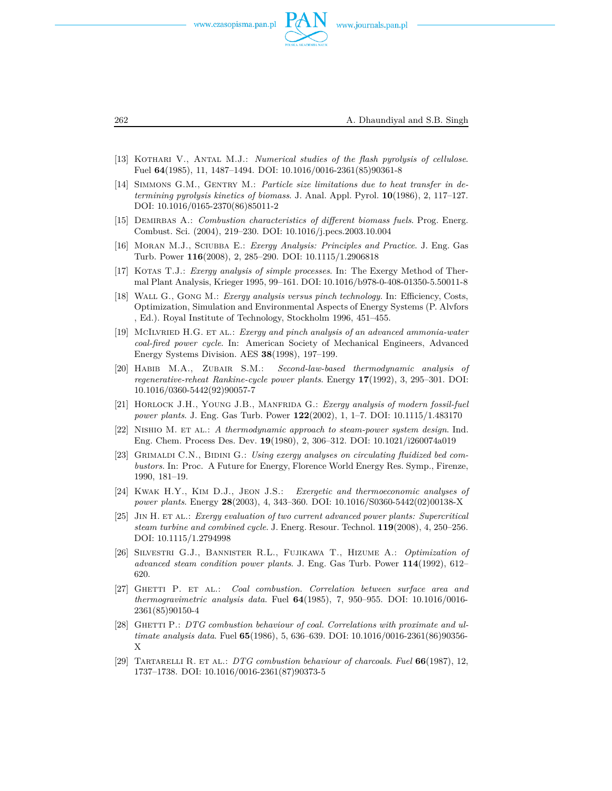

262 A. Dhaundiyal and S.B. Singh

- [13] Kothari V., Antal M.J.: *Numerical studies of the flash pyrolysis of cellulose*. Fuel **64**(1985), 11, 1487–1494. DOI: 10.1016/0016-2361(85)90361-8
- [14] SIMMONS G.M., GENTRY M.: *Particle size limitations due to heat transfer in determining pyrolysis kinetics of biomass*. J. Anal. Appl. Pyrol. **10**(1986), 2, 117–127. DOI: 10.1016/0165-2370(86)85011-2
- [15] Demirbas A.: *Combustion characteristics of different biomass fuels*. Prog. Energ. Combust. Sci. (2004), 219–230. DOI: 10.1016/j.pecs.2003.10.004
- [16] Moran M.J., Sciubba E.: *Exergy Analysis: Principles and Practice*. J. Eng. Gas Turb. Power **116**(2008), 2, 285–290. DOI: 10.1115/1.2906818
- [17] Kotas T.J.: *Exergy analysis of simple processes*. In: The Exergy Method of Thermal Plant Analysis, Krieger 1995, 99–161. DOI: 10.1016/b978-0-408-01350-5.50011-8
- [18] Wall G., Gong M.: *Exergy analysis versus pinch technology.* In: Efficiency, Costs, Optimization, Simulation and Environmental Aspects of Energy Systems (P. Alvfors , Ed.). Royal Institute of Technology, Stockholm 1996, 451–455.
- [19] McIlvried H.G. et al.: *Exergy and pinch analysis of an advanced ammonia-water coal-fired power cycle*. In: American Society of Mechanical Engineers, Advanced Energy Systems Division. AES **38**(1998), 197–199.
- [20] Habib M.A., Zubair S.M.: *Second-law-based thermodynamic analysis of regenerative-reheat Rankine-cycle power plants*. Energy **17**(1992), 3, 295–301. DOI: 10.1016/0360-5442(92)90057-7
- [21] Horlock J.H., Young J.B., Manfrida G.: *Exergy analysis of modern fossil-fuel power plants*. J. Eng. Gas Turb. Power **122**(2002), 1, 1–7. DOI: 10.1115/1.483170
- [22] Nishio M. et al.: *A thermodynamic approach to steam-power system design*. Ind. Eng. Chem. Process Des. Dev. **19**(1980), 2, 306–312. DOI: 10.1021/i260074a019
- [23] GRIMALDI C.N., BIDINI G.: *Using exergy analyses on circulating fluidized bed combustors*. In: Proc. A Future for Energy, Florence World Energy Res. Symp., Firenze, 1990, 181–19.
- [24] Kwak H.Y., Kim D.J., Jeon J.S.: *Exergetic and thermoeconomic analyses of power plants*. Energy **28**(2003), 4, 343–360. DOI: 10.1016/S0360-5442(02)00138-X
- [25] Jin H. et al.: *Exergy evaluation of two current advanced power plants: Supercritical steam turbine and combined cycle*. J. Energ. Resour. Technol. **119**(2008), 4, 250–256. DOI: 10.1115/1.2794998
- [26] Silvestri G.J., Bannister R.L., Fujikawa T., Hizume A.: *Optimization of advanced steam condition power plants*. J. Eng. Gas Turb. Power **114**(1992), 612– 620.
- [27] Ghetti P. et al.: *Coal combustion. Correlation between surface area and thermogravimetric analysis data*. Fuel **64**(1985), 7, 950–955. DOI: 10.1016/0016- 2361(85)90150-4
- [28] GHETTI P.: *DTG combustion behaviour of coal. Correlations with proximate and ultimate analysis data*. Fuel **65**(1986), 5, 636–639. DOI: 10.1016/0016-2361(86)90356- X
- [29] Tartarelli R. et al.: *DTG combustion behaviour of charcoals*. *Fuel* **66**(1987), 12, 1737–1738. DOI: 10.1016/0016-2361(87)90373-5